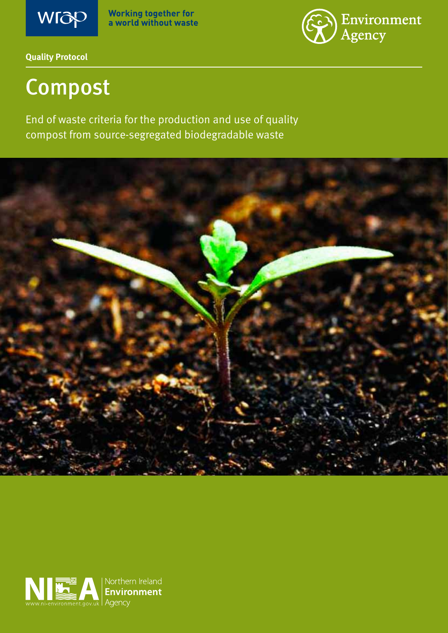

**Working together for<br>a world without waste** 



**Quality Protocol** 

# Compost

End of waste criteria for the production and use of quality compost from source-segregated biodegradable waste



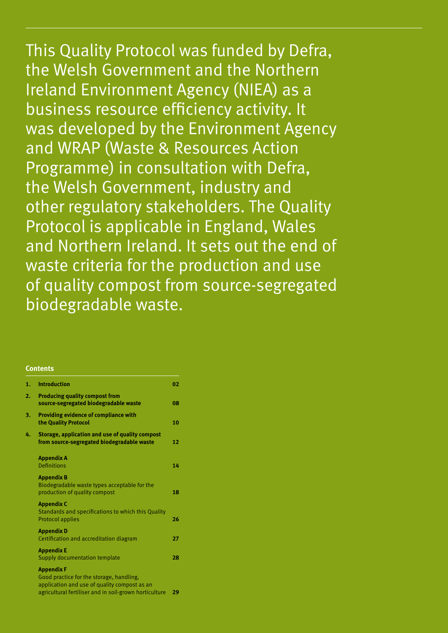This Quality Protocol was funded by Defra, the Welsh Government and the Northern Ireland Environment Agency (NIEA) as a business resource efficiency activity. It was developed by the Environment Agency and WRAP (Waste & Resources Action Programme) in consultation with Defra, the Welsh Government, industry and other regulatory stakeholders. The Quality Protocol is applicable in England, Wales and Northern Ireland. It sets out the end of waste criteria for the production and use of quality compost from source-segregated biodegradable waste.

#### **Contents**

| 1. | <b>Introduction</b>                                                                                                                                                     | 02 |
|----|-------------------------------------------------------------------------------------------------------------------------------------------------------------------------|----|
| 2. | <b>Producing quality compost from</b><br>source-segregated biodegradable waste                                                                                          | 08 |
| 3. | Providing evidence of compliance with<br>the Quality Protocol                                                                                                           | 10 |
| 4. | Storage, application and use of quality compost<br>from source-segregated biodegradable waste                                                                           | 12 |
|    | <b>Appendix A</b><br><b>Definitions</b>                                                                                                                                 | 14 |
|    | <b>Appendix B</b><br>Biodegradable waste types acceptable for the<br>production of quality compost                                                                      | 18 |
|    | <b>Appendix C</b><br>Standards and specifications to which this Quality<br><b>Protocol applies</b>                                                                      | 26 |
|    | <b>Appendix D</b><br>Certification and accreditation diagram                                                                                                            | 27 |
|    | <b>Appendix E</b><br><b>Supply documentation template</b>                                                                                                               | 28 |
|    | <b>Appendix F</b><br>Good practice for the storage, handling,<br>application and use of quality compost as an<br>agricultural fertiliser and in soil-grown horticulture | 29 |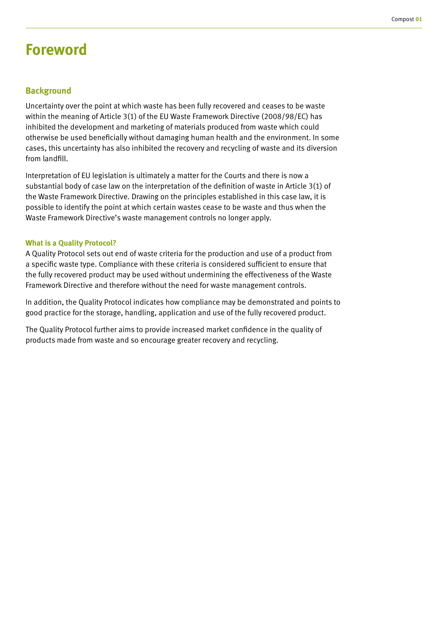# **Foreword**

### **Background**

Uncertainty over the point at which waste has been fully recovered and ceases to be waste within the meaning of Article 3(1) of the EU Waste Framework Directive (2008/98/EC) has inhibited the development and marketing of materials produced from waste which could otherwise be used beneficially without damaging human health and the environment. In some cases, this uncertainty has also inhibited the recovery and recycling of waste and its diversion from landfill.

Interpretation of EU legislation is ultimately a matter for the Courts and there is now a substantial body of case law on the interpretation of the definition of waste in Article 3(1) of the Waste Framework Directive. Drawing on the principles established in this case law, it is possible to identify the point at which certain wastes cease to be waste and thus when the Waste Framework Directive's waste management controls no longer apply.

#### **What is a Quality Protocol?**

A Quality Protocol sets out end of waste criteria for the production and use of a product from a specific waste type. Compliance with these criteria is considered sufficient to ensure that the fully recovered product may be used without undermining the effectiveness of the Waste Framework Directive and therefore without the need for waste management controls.

In addition, the Quality Protocol indicates how compliance may be demonstrated and points to good practice for the storage, handling, application and use of the fully recovered product.

The Quality Protocol further aims to provide increased market confidence in the quality of products made from waste and so encourage greater recovery and recycling.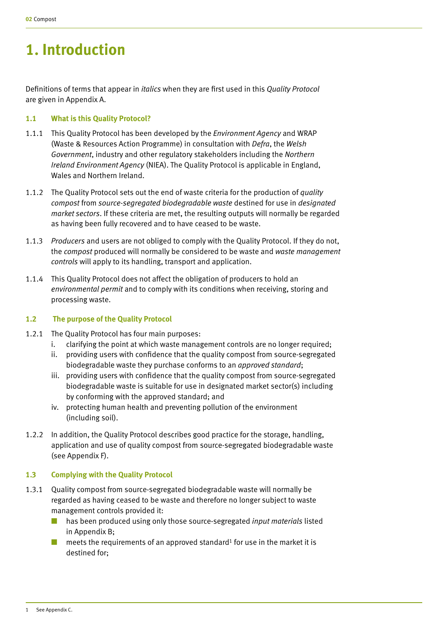# **1. Introduction**

Definitions of terms that appear in *italics* when they are first used in this *Quality Protocol* are given in Appendix A.

### **1.1 What is this Quality Protocol?**

- 1.1.1 This Quality Protocol has been developed by the *Environment Agency* and WRAP (Waste & Resources Action Programme) in consultation with *Defra*, the *Welsh Government*, industry and other regulatory stakeholders including the *Northern Ireland Environment Agency* (NIEA). The Quality Protocol is applicable in England, Wales and Northern Ireland.
- 1.1.2 The Quality Protocol sets out the end of waste criteria for the production of *quality compost* from *source-segregated biodegradable waste* destined for use in *designated market sectors*. If these criteria are met, the resulting outputs will normally be regarded as having been fully recovered and to have ceased to be waste.
- 1.1.3 *Producers* and users are not obliged to comply with the Quality Protocol. If they do not, the *compost* produced will normally be considered to be waste and *waste management controls* will apply to its handling, transport and application.
- 1.1.4 This Quality Protocol does not affect the obligation of producers to hold an *environmental permit* and to comply with its conditions when receiving, storing and processing waste.

# **1.2 The purpose of the Quality Protocol**

- 1.2.1 The Quality Protocol has four main purposes:
	- i. clarifying the point at which waste management controls are no longer required;
	- ii. providing users with confidence that the quality compost from source-segregated biodegradable waste they purchase conforms to an *approved standard*;
	- iii. providing users with confidence that the quality compost from source-segregated biodegradable waste is suitable for use in designated market sector(s) including by conforming with the approved standard; and
	- iv. protecting human health and preventing pollution of the environment (including soil).
- 1.2.2 In addition, the Quality Protocol describes good practice for the storage, handling, application and use of quality compost from source-segregated biodegradable waste (see Appendix F).

# **1.3 Complying with the Quality Protocol**

- 1.3.1 Quality compost from source-segregated biodegradable waste will normally be regarded as having ceased to be waste and therefore no longer subject to waste management controls provided it:
	- has been produced using only those source-segregated *input materials* listed in Appendix B;
	- $\blacksquare$  meets the requirements of an approved standard<sup>1</sup> for use in the market it is destined for;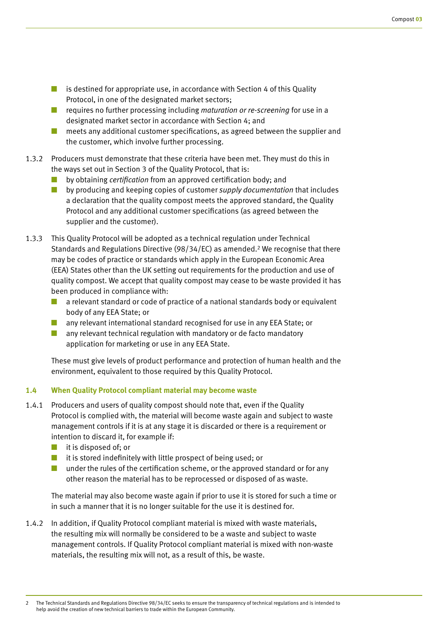- is destined for appropriate use, in accordance with Section 4 of this Quality Protocol, in one of the designated market sectors;
- requires no further processing including *maturation or re-screening* for use in a designated market sector in accordance with Section 4; and
- meets any additional customer specifications, as agreed between the supplier and the customer, which involve further processing.
- 1.3.2 Producers must demonstrate that these criteria have been met. They must do this in the ways set out in Section 3 of the Quality Protocol, that is:
	- by obtaining *certification* from an approved certification body; and
	- by producing and keeping copies of customer *supply documentation* that includes a declaration that the quality compost meets the approved standard, the Quality Protocol and any additional customer specifications (as agreed between the supplier and the customer).
- 1.3.3 This Quality Protocol will be adopted as a technical regulation under Technical Standards and Regulations Directive (98/34/EC) as amended.2 We recognise that there may be codes of practice or standards which apply in the European Economic Area (EEA) States other than the UK setting out requirements for the production and use of quality compost. We accept that quality compost may cease to be waste provided it has been produced in compliance with:
	- a relevant standard or code of practice of a national standards body or equivalent body of any EEA State; or
	- any relevant international standard recognised for use in any EEA State; or
	- any relevant technical regulation with mandatory or de facto mandatory application for marketing or use in any EEA State.

These must give levels of product performance and protection of human health and the environment, equivalent to those required by this Quality Protocol.

# **1.4 When Quality Protocol compliant material may become waste**

- 1.4.1 Producers and users of quality compost should note that, even if the Quality Protocol is complied with, the material will become waste again and subject to waste management controls if it is at any stage it is discarded or there is a requirement or intention to discard it, for example if:
	- it is disposed of: or
	- it is stored indefinitely with little prospect of being used; or
	- under the rules of the certification scheme, or the approved standard or for any other reason the material has to be reprocessed or disposed of as waste.

The material may also become waste again if prior to use it is stored for such a time or in such a manner that it is no longer suitable for the use it is destined for.

1.4.2 In addition, if Quality Protocol compliant material is mixed with waste materials, the resulting mix will normally be considered to be a waste and subject to waste management controls. If Quality Protocol compliant material is mixed with non-waste materials, the resulting mix will not, as a result of this, be waste.

<sup>2</sup> The Technical Standards and Regulations Directive 98/34/EC seeks to ensure the transparency of technical regulations and is intended to help avoid the creation of new technical barriers to trade within the European Community.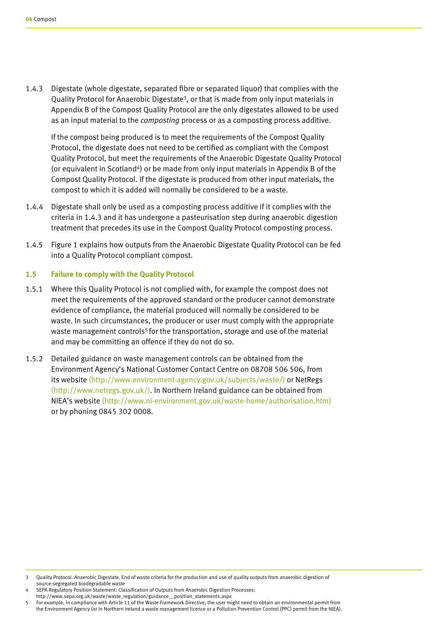1.4.3 Digestate (whole digestate, separated fibre or separated liquor) that complies with the Quality Protocol for Anaerobic Digestate3, or that is made from only input materials in Appendix B of the Compost Quality Protocol are the only digestates allowed to be used as an input material to the *composting* process or as a composting process additive.

If the compost being produced is to meet the requirements of the Compost Quality Protocol, the digestate does not need to be certified as compliant with the Compost Quality Protocol, but meet the requirements of the Anaerobic Digestate Quality Protocol (or equivalent in Scotland<sup>4</sup>) or be made from only input materials in Appendix B of the Compost Quality Protocol. If the digestate is produced from other input materials, the compost to which it is added will normally be considered to be a waste.

- 1.4.4 Digestate shall only be used as a composting process additive if it complies with the criteria in 1.4.3 and it has undergone a pasteurisation step during anaerobic digestion treatment that precedes its use in the Compost Quality Protocol composting process.
- 1.4.5 Figure 1 explains how outputs from the Anaerobic Digestate Quality Protocol can be fed into a Quality Protocol compliant compost.

#### **1.5 Failure to comply with the Quality Protocol**

- 1.5.1 Where this Quality Protocol is not complied with, for example the compost does not meet the requirements of the approved standard or the producer cannot demonstrate evidence of compliance, the material produced will normally be considered to be waste. In such circumstances, the producer or user must comply with the appropriate waste management controls<sup>5</sup> for the transportation, storage and use of the material and may be committing an offence if they do not do so.
- 1.5.2 Detailed guidance on waste management controls can be obtained from the Environment Agency's National Customer Contact Centre on 08708 506 506, from its website (http://www.environment-agency.gov.uk/subjects/waste/) or NetRegs (http://www.netregs.gov.uk/). In Northern Ireland guidance can be obtained from NIEA's website (http://www.ni-environment.gov.uk/waste-home/authorisation.htm) or by phoning 0845 302 0008.

Quality Protocol. Anaerobic Digestate. End of waste criteria for the production and use of quality outputs from anaerobic digestion of source-segregated biodegradable waste

SEPA Regulatory Position Statement: Classification of Outputs from Anaerobic Digestion Processes: http://www.sepa.org.uk/waste/waste\_regulation/guidance\_\_position\_statements.aspx

<sup>5</sup> For example, in compliance with Article 11 of the Waste Framework Directive, the user might need to obtain an environmental permit from the Environment Agency (or in Northern Ireland a waste management licence or a Pollution Prevention Control (PPC) permit from the NIEA).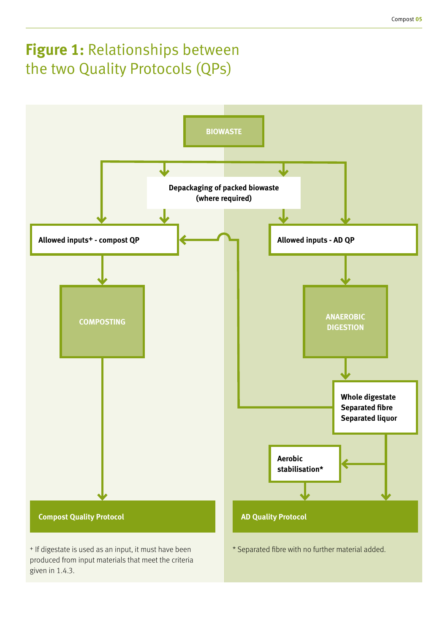# **Figure 1:** Relationships between the two Quality Protocols (QPs)



produced from input materials that meet the criteria given in 1.4.3.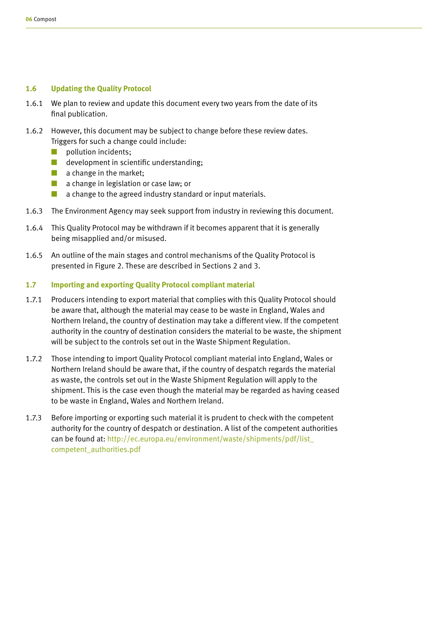### **1.6 Updating the Quality Protocol**

- 1.6.1 We plan to review and update this document every two years from the date of its final publication.
- 1.6.2 However, this document may be subject to change before these review dates. Triggers for such a change could include:
	- **D** pollution incidents;
	- development in scientific understanding;
	- a change in the market;
	- a change in legislation or case law; or
	- $\Box$  a change to the agreed industry standard or input materials.
- 1.6.3 The Environment Agency may seek support from industry in reviewing this document.
- 1.6.4 This Quality Protocol may be withdrawn if it becomes apparent that it is generally being misapplied and/or misused.
- 1.6.5 An outline of the main stages and control mechanisms of the Quality Protocol is presented in Figure 2. These are described in Sections 2 and 3.

### **1.7 Importing and exporting Quality Protocol compliant material**

- 1.7.1 Producers intending to export material that complies with this Quality Protocol should be aware that, although the material may cease to be waste in England, Wales and Northern Ireland, the country of destination may take a different view. If the competent authority in the country of destination considers the material to be waste, the shipment will be subject to the controls set out in the Waste Shipment Regulation.
- 1.7.2 Those intending to import Quality Protocol compliant material into England, Wales or Northern Ireland should be aware that, if the country of despatch regards the material as waste, the controls set out in the Waste Shipment Regulation will apply to the shipment. This is the case even though the material may be regarded as having ceased to be waste in England, Wales and Northern Ireland.
- 1.7.3 Before importing or exporting such material it is prudent to check with the competent authority for the country of despatch or destination. A list of the competent authorities can be found at: http://ec.europa.eu/environment/waste/shipments/pdf/list\_ competent\_authorities.pdf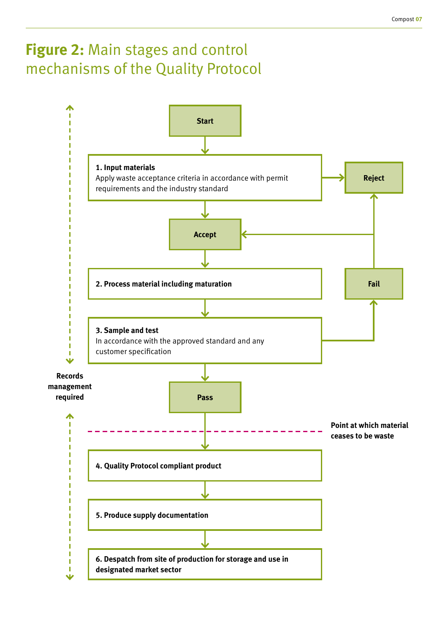# **Figure 2:** Main stages and control mechanisms of the Quality Protocol

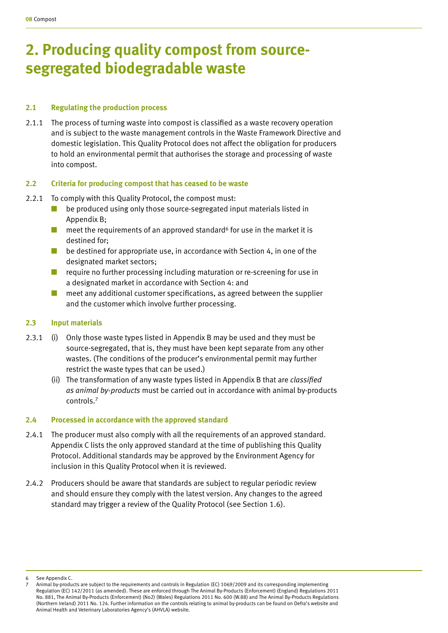# **2. Producing quality compost from sourcesegregated biodegradable waste**

#### **2.1 Regulating the production process**

2.1.1 The process of turning waste into compost is classified as a waste recovery operation and is subject to the waste management controls in the Waste Framework Directive and domestic legislation. This Quality Protocol does not affect the obligation for producers to hold an environmental permit that authorises the storage and processing of waste into compost.

#### **2.2 Criteria for producing compost that has ceased to be waste**

- 2.2.1 To comply with this Quality Protocol, the compost must:
	- be produced using only those source-segregated input materials listed in Appendix B;
	- $\blacksquare$  meet the requirements of an approved standard<sup>6</sup> for use in the market it is destined for;
	- be destined for appropriate use, in accordance with Section 4, in one of the designated market sectors;
	- require no further processing including maturation or re-screening for use in a designated market in accordance with Section 4: and
	- meet any additional customer specifications, as agreed between the supplier and the customer which involve further processing.

#### **2.3 Input materials**

- 2.3.1 (i) Only those waste types listed in Appendix B may be used and they must be source-segregated, that is, they must have been kept separate from any other wastes. (The conditions of the producer's environmental permit may further restrict the waste types that can be used.)
	- (ii) The transformation of any waste types listed in Appendix B that are *classified as animal by-products* must be carried out in accordance with animal by-products controls.7

#### **2.4 Processed in accordance with the approved standard**

- 2.4.1 The producer must also comply with all the requirements of an approved standard. Appendix C lists the only approved standard at the time of publishing this Quality Protocol. Additional standards may be approved by the Environment Agency for inclusion in this Quality Protocol when it is reviewed.
- 2.4.2 Producers should be aware that standards are subject to regular periodic review and should ensure they comply with the latest version. Any changes to the agreed standard may trigger a review of the Quality Protocol (see Section 1.6).

See Appendix C.

<sup>7</sup> Animal by-products are subject to the requirements and controls in Regulation (EC) 1069/2009 and its corresponding implementing Regulation (EC) 142/2011 (as amended). These are enforced through The Animal By-Products (Enforcement) (England) Regulations 2011 No. 881, The Animal By-Products (Enforcement) (No2) (Wales) Regulations 2011 No. 600 (W.88) and The Animal By-Products Regulations (Northern Ireland) 2011 No. 124. Further information on the controls relating to animal by-products can be found on Defra's website and Animal Health and Veterinary Laboratories Agency's (AHVLA) website.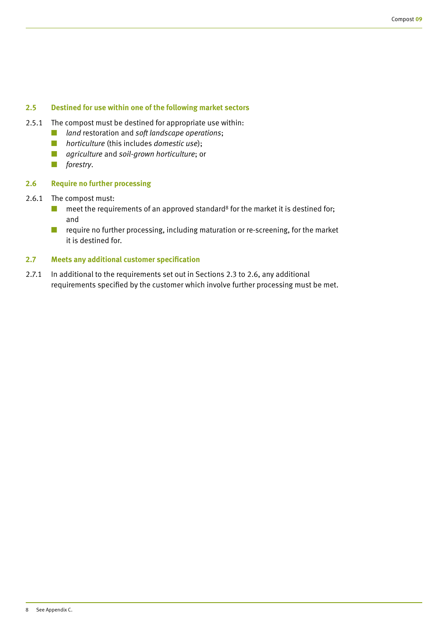### **2.5 Destined for use within one of the following market sectors**

- 2.5.1 The compost must be destined for appropriate use within:
	- *land* restoration and *soft landscape operations*;
	- *horticulture* (this includes *domestic use*);
	- *agriculture* and *soil-grown horticulture*; or
	- *forestry*.

### **2.6 Require no further processing**

- 2.6.1 The compost must:
	- $\blacksquare$  meet the requirements of an approved standard<sup>8</sup> for the market it is destined for; and
	- require no further processing, including maturation or re-screening, for the market it is destined for.

### **2.7 Meets any additional customer specification**

2.7.1 In additional to the requirements set out in Sections 2.3 to 2.6, any additional requirements specified by the customer which involve further processing must be met.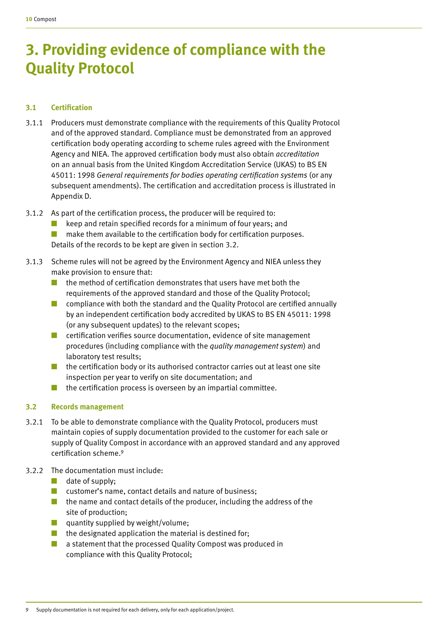# **3. Providing evidence of compliance with the Quality Protocol**

# **3.1 Certification**

- 3.1.1 Producers must demonstrate compliance with the requirements of this Quality Protocol and of the approved standard. Compliance must be demonstrated from an approved certification body operating according to scheme rules agreed with the Environment Agency and NIEA. The approved certification body must also obtain *accreditation* on an annual basis from the United Kingdom Accreditation Service (UKAS) to BS EN 45011: 1998 *General requirements for bodies operating certification systems* (or any subsequent amendments). The certification and accreditation process is illustrated in Appendix D.
- 3.1.2 As part of the certification process, the producer will be required to:
	- keep and retain specified records for a minimum of four years; and
	- make them available to the certification body for certification purposes. Details of the records to be kept are given in section 3.2.
- 3.1.3 Scheme rules will not be agreed by the Environment Agency and NIEA unless they make provision to ensure that:
	- the method of certification demonstrates that users have met both the requirements of the approved standard and those of the Quality Protocol;
	- compliance with both the standard and the Quality Protocol are certified annually by an independent certification body accredited by UKAS to BS EN 45011: 1998 (or any subsequent updates) to the relevant scopes;
	- certification verifies source documentation, evidence of site management procedures (including compliance with the *quality management system*) and laboratory test results;
	- the certification body or its authorised contractor carries out at least one site inspection per year to verify on site documentation; and
	- $\blacksquare$  the certification process is overseen by an impartial committee.

# **3.2 Records management**

- 3.2.1 To be able to demonstrate compliance with the Quality Protocol, producers must maintain copies of supply documentation provided to the customer for each sale or supply of Quality Compost in accordance with an approved standard and any approved certification scheme.9
- 3.2.2 The documentation must include:
	- $\Box$  date of supply;
	- customer's name, contact details and nature of business:
	- the name and contact details of the producer, including the address of the site of production;
	- quantity supplied by weight/volume;
	- $\blacksquare$  the designated application the material is destined for:
	- a statement that the processed Quality Compost was produced in compliance with this Quality Protocol;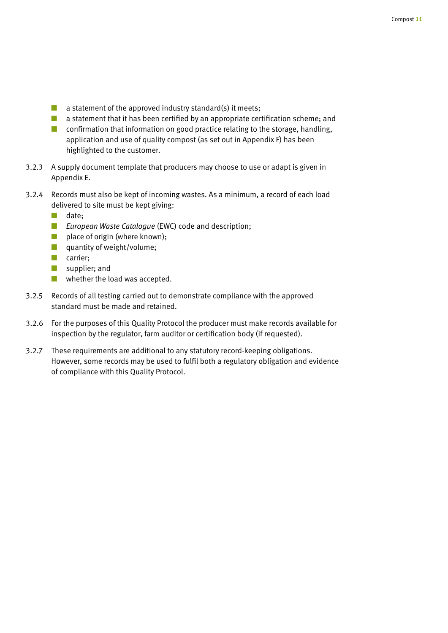- $\blacksquare$  a statement of the approved industry standard(s) it meets;
- a statement that it has been certified by an appropriate certification scheme; and
- confirmation that information on good practice relating to the storage, handling, application and use of quality compost (as set out in Appendix F) has been highlighted to the customer.
- 3.2.3 A supply document template that producers may choose to use or adapt is given in Appendix E.
- 3.2.4 Records must also be kept of incoming wastes. As a minimum, a record of each load delivered to site must be kept giving:
	- date:
	- *European Waste Catalogue* (EWC) code and description;
	- place of origin (where known);
	- quantity of weight/volume;
	- carrier;
	- supplier; and
	- whether the load was accepted.
- 3.2.5 Records of all testing carried out to demonstrate compliance with the approved standard must be made and retained.
- 3.2.6 For the purposes of this Quality Protocol the producer must make records available for inspection by the regulator, farm auditor or certification body (if requested).
- 3.2.7 These requirements are additional to any statutory record-keeping obligations. However, some records may be used to fulfil both a regulatory obligation and evidence of compliance with this Quality Protocol.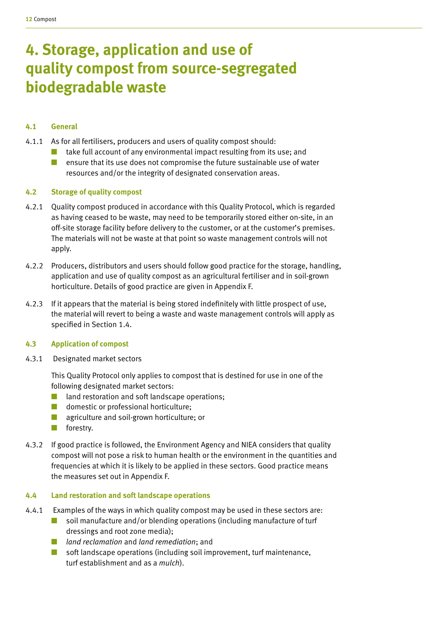# **4. Storage, application and use of quality compost from source-segregated biodegradable waste**

# **4.1 General**

- 4.1.1 As for all fertilisers, producers and users of quality compost should:
	- take full account of any environmental impact resulting from its use; and
	- ensure that its use does not compromise the future sustainable use of water resources and/or the integrity of designated conservation areas.

### **4.2 Storage of quality compost**

- 4.2.1 Quality compost produced in accordance with this Quality Protocol, which is regarded as having ceased to be waste, may need to be temporarily stored either on-site, in an off-site storage facility before delivery to the customer, or at the customer's premises. The materials will not be waste at that point so waste management controls will not apply.
- 4.2.2 Producers, distributors and users should follow good practice for the storage, handling, application and use of quality compost as an agricultural fertiliser and in soil-grown horticulture. Details of good practice are given in Appendix F.
- 4.2.3 If it appears that the material is being stored indefinitely with little prospect of use, the material will revert to being a waste and waste management controls will apply as specified in Section 1.4.

### **4.3 Application of compost**

4.3.1 Designated market sectors

This Quality Protocol only applies to compost that is destined for use in one of the following designated market sectors:

- land restoration and soft landscape operations;
- domestic or professional horticulture;
- agriculture and soil-grown horticulture; or
- forestry.
- 4.3.2 If good practice is followed, the Environment Agency and NIEA considers that quality compost will not pose a risk to human health or the environment in the quantities and frequencies at which it is likely to be applied in these sectors. Good practice means the measures set out in Appendix F.

### **4.4 Land restoration and soft landscape operations**

- 4.4.1 Examples of the ways in which quality compost may be used in these sectors are:
	- soil manufacture and/or blending operations (including manufacture of turf dressings and root zone media);
	- *land reclamation* and *land remediation*; and
	- soft landscape operations (including soil improvement, turf maintenance, turf establishment and as a *mulch*).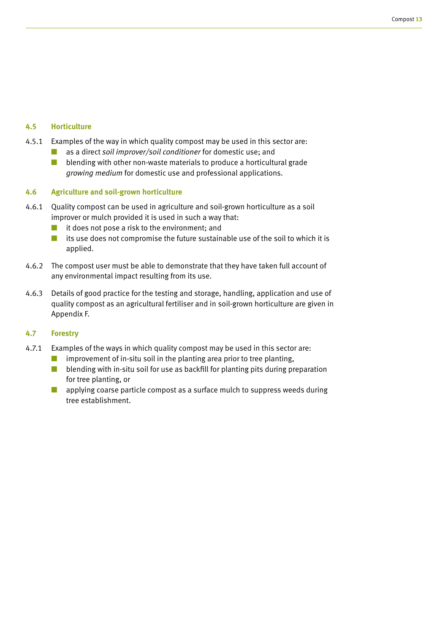### **4.5 Horticulture**

- 4.5.1 Examples of the way in which quality compost may be used in this sector are:
	- as a direct *soil improver/soil conditioner* for domestic use; and
	- $\blacksquare$  blending with other non-waste materials to produce a horticultural grade *growing medium* for domestic use and professional applications.

### **4.6 Agriculture and soil-grown horticulture**

- 4.6.1 Quality compost can be used in agriculture and soil-grown horticulture as a soil improver or mulch provided it is used in such a way that:
	- it does not pose a risk to the environment; and
	- its use does not compromise the future sustainable use of the soil to which it is applied.
- 4.6.2 The compost user must be able to demonstrate that they have taken full account of any environmental impact resulting from its use.
- 4.6.3 Details of good practice for the testing and storage, handling, application and use of quality compost as an agricultural fertiliser and in soil-grown horticulture are given in Appendix F.

### **4.7 Forestry**

- 4.7.1 Examples of the ways in which quality compost may be used in this sector are:
	- improvement of in-situ soil in the planting area prior to tree planting,
	- blending with in-situ soil for use as backfill for planting pits during preparation for tree planting, or
	- applying coarse particle compost as a surface mulch to suppress weeds during tree establishment.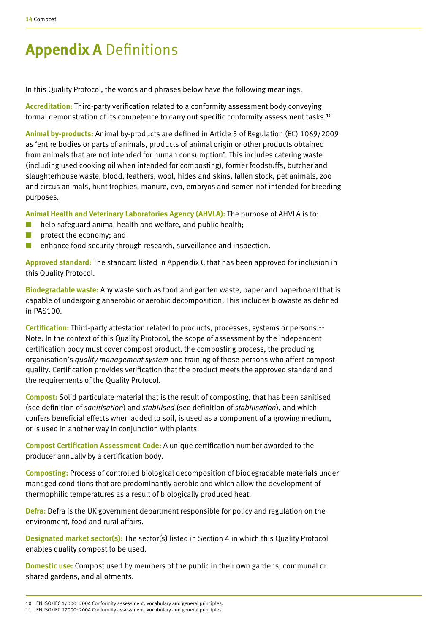# **Appendix A** Definitions

In this Quality Protocol, the words and phrases below have the following meanings.

**Accreditation:** Third-party verification related to a conformity assessment body conveying formal demonstration of its competence to carry out specific conformity assessment tasks.10

**Animal by-products:** Animal by-products are defined in Article 3 of Regulation (EC) 1069/2009 as 'entire bodies or parts of animals, products of animal origin or other products obtained from animals that are not intended for human consumption'. This includes catering waste (including used cooking oil when intended for composting), former foodstuffs, butcher and slaughterhouse waste, blood, feathers, wool, hides and skins, fallen stock, pet animals, zoo and circus animals, hunt trophies, manure, ova, embryos and semen not intended for breeding purposes.

**Animal Health and Veterinary Laboratories Agency (AHVLA):** The purpose of AHVLA is to:

- help safeguard animal health and welfare, and public health;
- protect the economy; and
- enhance food security through research, surveillance and inspection.

**Approved standard:** The standard listed in Appendix C that has been approved for inclusion in this Quality Protocol.

**Biodegradable waste:** Any waste such as food and garden waste, paper and paperboard that is capable of undergoing anaerobic or aerobic decomposition. This includes biowaste as defined in PAS100.

**Certification:** Third-party attestation related to products, processes, systems or persons.11 Note: In the context of this Quality Protocol, the scope of assessment by the independent certification body must cover compost product, the composting process, the producing organisation's *quality management system* and training of those persons who affect compost quality. Certification provides verification that the product meets the approved standard and the requirements of the Quality Protocol.

**Compost:** Solid particulate material that is the result of composting, that has been sanitised (see definition of *sanitisation*) and *stabilised* (see definition of *stabilisation*), and which confers beneficial effects when added to soil, is used as a component of a growing medium, or is used in another way in conjunction with plants.

**Compost Certification Assessment Code:** A unique certification number awarded to the producer annually by a certification body.

**Composting:** Process of controlled biological decomposition of biodegradable materials under managed conditions that are predominantly aerobic and which allow the development of thermophilic temperatures as a result of biologically produced heat.

**Defra:** Defra is the UK government department responsible for policy and regulation on the environment, food and rural affairs.

**Designated market sector(s):** The sector(s) listed in Section 4 in which this Quality Protocol enables quality compost to be used.

**Domestic use:** Compost used by members of the public in their own gardens, communal or shared gardens, and allotments.

<sup>10</sup> EN ISO/IEC 17000: 2004 Conformity assessment. Vocabulary and general principles.

<sup>11</sup> EN ISO/IEC 17000: 2004 Conformity assessment. Vocabulary and general principles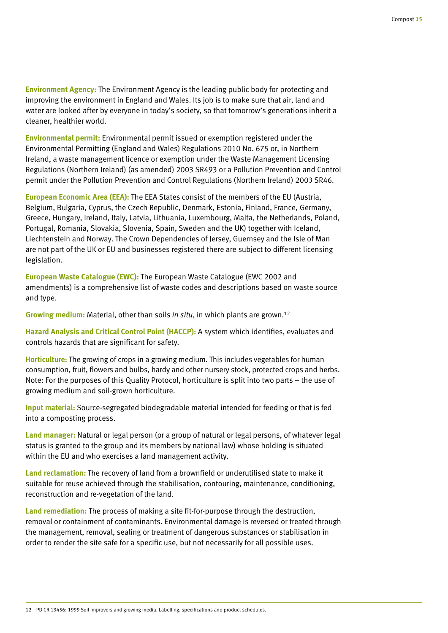**Environment Agency:** The Environment Agency is the leading public body for protecting and improving the environment in England and Wales. Its job is to make sure that air, land and water are looked after by everyone in today's society, so that tomorrow's generations inherit a cleaner, healthier world.

**Environmental permit:** Environmental permit issued or exemption registered under the Environmental Permitting (England and Wales) Regulations 2010 No. 675 or, in Northern Ireland, a waste management licence or exemption under the Waste Management Licensing Regulations (Northern Ireland) (as amended) 2003 SR493 or a Pollution Prevention and Control permit under the Pollution Prevention and Control Regulations (Northern Ireland) 2003 SR46.

**European Economic Area (EEA):** The EEA States consist of the members of the EU (Austria, Belgium, Bulgaria, Cyprus, the Czech Republic, Denmark, Estonia, Finland, France, Germany, Greece, Hungary, Ireland, Italy, Latvia, Lithuania, Luxembourg, Malta, the Netherlands, Poland, Portugal, Romania, Slovakia, Slovenia, Spain, Sweden and the UK) together with Iceland, Liechtenstein and Norway. The Crown Dependencies of Jersey, Guernsey and the Isle of Man are not part of the UK or EU and businesses registered there are subject to different licensing legislation.

**European Waste Catalogue (EWC):** The European Waste Catalogue (EWC 2002 and amendments) is a comprehensive list of waste codes and descriptions based on waste source and type.

**Growing medium:** Material, other than soils *in situ*, in which plants are grown.12

**Hazard Analysis and Critical Control Point (HACCP):** A system which identifies, evaluates and controls hazards that are significant for safety.

**Horticulture:** The growing of crops in a growing medium. This includes vegetables for human consumption, fruit, flowers and bulbs, hardy and other nursery stock, protected crops and herbs. Note: For the purposes of this Quality Protocol, horticulture is split into two parts – the use of growing medium and soil-grown horticulture.

**Input material:** Source-segregated biodegradable material intended for feeding or that is fed into a composting process.

**Land manager:** Natural or legal person (or a group of natural or legal persons, of whatever legal status is granted to the group and its members by national law) whose holding is situated within the EU and who exercises a land management activity.

**Land reclamation:** The recovery of land from a brownfield or underutilised state to make it suitable for reuse achieved through the stabilisation, contouring, maintenance, conditioning, reconstruction and re-vegetation of the land.

**Land remediation:** The process of making a site fit-for-purpose through the destruction, removal or containment of contaminants. Environmental damage is reversed or treated through the management, removal, sealing or treatment of dangerous substances or stabilisation in order to render the site safe for a specific use, but not necessarily for all possible uses.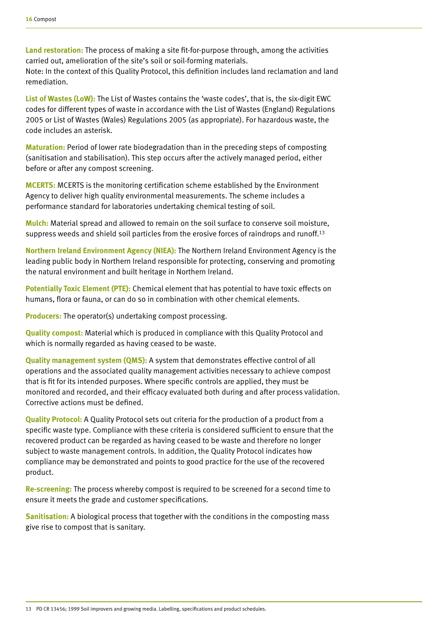**Land restoration:** The process of making a site fit-for-purpose through, among the activities carried out, amelioration of the site's soil or soil-forming materials.

Note: In the context of this Quality Protocol, this definition includes land reclamation and land remediation.

**List of Wastes (LoW):** The List of Wastes contains the 'waste codes', that is, the six-digit EWC codes for different types of waste in accordance with the List of Wastes (England) Regulations 2005 or List of Wastes (Wales) Regulations 2005 (as appropriate). For hazardous waste, the code includes an asterisk.

**Maturation:** Period of lower rate biodegradation than in the preceding steps of composting (sanitisation and stabilisation). This step occurs after the actively managed period, either before or after any compost screening.

**MCERTS:** MCERTS is the monitoring certification scheme established by the Environment Agency to deliver high quality environmental measurements. The scheme includes a performance standard for laboratories undertaking chemical testing of soil.

**Mulch:** Material spread and allowed to remain on the soil surface to conserve soil moisture, suppress weeds and shield soil particles from the erosive forces of raindrops and runoff.<sup>13</sup>

**Northern Ireland Environment Agency (NIEA):** The Northern Ireland Environment Agency is the leading public body in Northern Ireland responsible for protecting, conserving and promoting the natural environment and built heritage in Northern Ireland.

**Potentially Toxic Element (PTE):** Chemical element that has potential to have toxic effects on humans, flora or fauna, or can do so in combination with other chemical elements.

**Producers:** The operator(s) undertaking compost processing.

**Quality compost:** Material which is produced in compliance with this Quality Protocol and which is normally regarded as having ceased to be waste.

**Quality management system (QMS):** A system that demonstrates effective control of all operations and the associated quality management activities necessary to achieve compost that is fit for its intended purposes. Where specific controls are applied, they must be monitored and recorded, and their efficacy evaluated both during and after process validation. Corrective actions must be defined.

**Quality Protocol:** A Quality Protocol sets out criteria for the production of a product from a specific waste type. Compliance with these criteria is considered sufficient to ensure that the recovered product can be regarded as having ceased to be waste and therefore no longer subject to waste management controls. In addition, the Quality Protocol indicates how compliance may be demonstrated and points to good practice for the use of the recovered product.

**Re-screening:** The process whereby compost is required to be screened for a second time to ensure it meets the grade and customer specifications.

**Sanitisation:** A biological process that together with the conditions in the composting mass give rise to compost that is sanitary.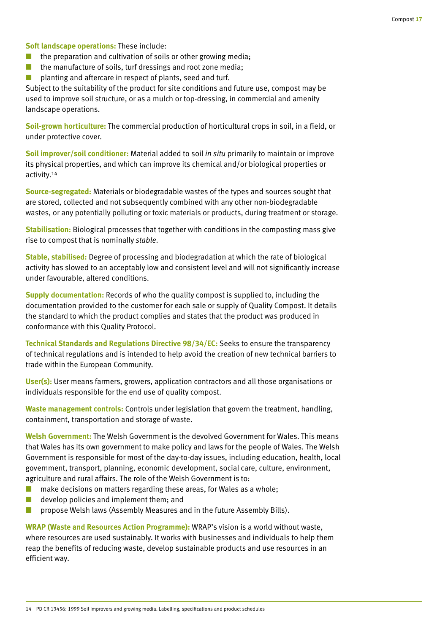**Soft landscape operations:** These include:

- $\blacksquare$  the preparation and cultivation of soils or other growing media;
- the manufacture of soils, turf dressings and root zone media;
- planting and aftercare in respect of plants, seed and turf.

Subject to the suitability of the product for site conditions and future use, compost may be used to improve soil structure, or as a mulch or top-dressing, in commercial and amenity landscape operations.

**Soil-grown horticulture:** The commercial production of horticultural crops in soil, in a field, or under protective cover.

**Soil improver/soil conditioner:** Material added to soil *in situ* primarily to maintain or improve its physical properties, and which can improve its chemical and/or biological properties or activity.14

**Source-segregated:** Materials or biodegradable wastes of the types and sources sought that are stored, collected and not subsequently combined with any other non-biodegradable wastes, or any potentially polluting or toxic materials or products, during treatment or storage.

**Stabilisation:** Biological processes that together with conditions in the composting mass give rise to compost that is nominally *stable*.

**Stable, stabilised:** Degree of processing and biodegradation at which the rate of biological activity has slowed to an acceptably low and consistent level and will not significantly increase under favourable, altered conditions.

**Supply documentation:** Records of who the quality compost is supplied to, including the documentation provided to the customer for each sale or supply of Quality Compost. It details the standard to which the product complies and states that the product was produced in conformance with this Quality Protocol.

**Technical Standards and Regulations Directive 98/34/EC:** Seeks to ensure the transparency of technical regulations and is intended to help avoid the creation of new technical barriers to trade within the European Community.

**User(s):** User means farmers, growers, application contractors and all those organisations or individuals responsible for the end use of quality compost.

**Waste management controls:** Controls under legislation that govern the treatment, handling, containment, transportation and storage of waste.

**Welsh Government:** The Welsh Government is the devolved Government for Wales. This means that Wales has its own government to make policy and laws for the people of Wales. The Welsh Government is responsible for most of the day-to-day issues, including education, health, local government, transport, planning, economic development, social care, culture, environment, agriculture and rural affairs. The role of the Welsh Government is to:

- make decisions on matters regarding these areas, for Wales as a whole;
- develop policies and implement them; and
- propose Welsh laws (Assembly Measures and in the future Assembly Bills).

**WRAP (Waste and Resources Action Programme):** WRAP's vision is a world without waste, where resources are used sustainably. It works with businesses and individuals to help them reap the benefits of reducing waste, develop sustainable products and use resources in an efficient way.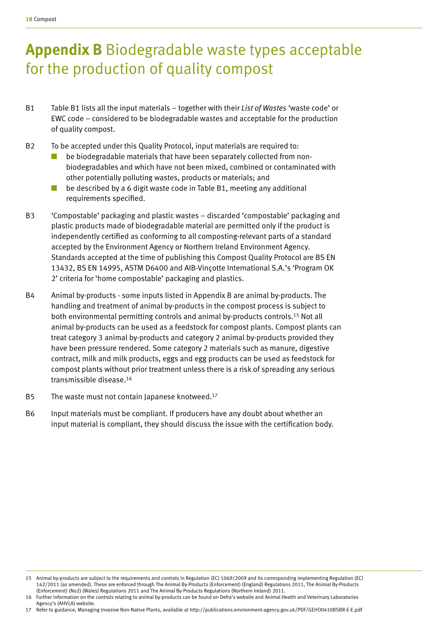# **Appendix B** Biodegradable waste types acceptable for the production of quality compost

- B1 Table B1 lists all the input materials together with their *List of Wastes* 'waste code' or EWC code – considered to be biodegradable wastes and acceptable for the production of quality compost.
- B2 To be accepted under this Quality Protocol, input materials are required to:
	- be biodegradable materials that have been separately collected from nonbiodegradables and which have not been mixed, combined or contaminated with other potentially polluting wastes, products or materials; and
	- be described by a 6 digit waste code in Table B1, meeting any additional requirements specified.
- B3 'Compostable' packaging and plastic wastes discarded 'compostable' packaging and plastic products made of biodegradable material are permitted only if the product is independently certified as conforming to all composting-relevant parts of a standard accepted by the Environment Agency or Northern Ireland Environment Agency. Standards accepted at the time of publishing this Compost Quality Protocol are BS EN 13432, BS EN 14995, ASTM D6400 and AIB-Vinçotte International S.A.'s 'Program OK 2' criteria for 'home compostable' packaging and plastics.
- B4 Animal by-products some inputs listed in Appendix B are animal by-products. The handling and treatment of animal by-products in the compost process is subject to both environmental permitting controls and animal by-products controls.15 Not all animal by-products can be used as a feedstock for compost plants. Compost plants can treat category 3 animal by-products and category 2 animal by-products provided they have been pressure rendered. Some category 2 materials such as manure, digestive contract, milk and milk products, eggs and egg products can be used as feedstock for compost plants without prior treatment unless there is a risk of spreading any serious transmissible disease.16
- B5 The waste must not contain Japanese knotweed.<sup>17</sup>
- B6 Input materials must be compliant. If producers have any doubt about whether an input material is compliant, they should discuss the issue with the certification body.

17 Refer to guidance, Managing Invasive Non-Native Plants, available at http://publications.environment-agency.gov.uk/PDF/GEHO0410BSBR-E-E.pdf

<sup>15</sup> Animal by-products are subject to the requirements and controls in Regulation (EC) 1069/2009 and its corresponding implementing Regulation (EC) 142/2011 (as amended). These are enforced through The Animal By-Products (Enforcement) (England) Regulations 2011, The Animal By-Products (Enforcement) (No2) (Wales) Regulations 2011 and The Animal By-Products Regulations (Northern Ireland) 2011.

<sup>16</sup> Further information on the controls relating to animal by-products can be found on Defra's website and Animal Health and Veterinary Laboratories Agency's (AHVLA) website.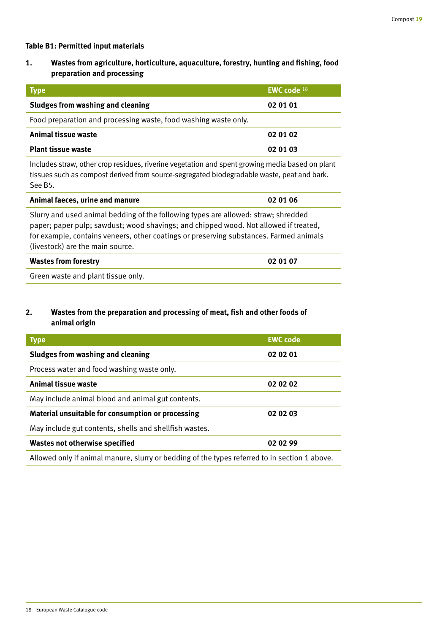### **Table B1: Permitted input materials**

**1. Wastes from agriculture, horticulture, aquaculture, forestry, hunting and fishing, food preparation and processing** 

| <b>Type</b>                                                                                                                                                                                                                                                                                              | EWC code 18 |
|----------------------------------------------------------------------------------------------------------------------------------------------------------------------------------------------------------------------------------------------------------------------------------------------------------|-------------|
| Sludges from washing and cleaning                                                                                                                                                                                                                                                                        | 02 01 01    |
| Food preparation and processing waste, food washing waste only.                                                                                                                                                                                                                                          |             |
| <b>Animal tissue waste</b>                                                                                                                                                                                                                                                                               | 02 01 02    |
| <b>Plant tissue waste</b>                                                                                                                                                                                                                                                                                | 02 01 03    |
| Includes straw, other crop residues, riverine vegetation and spent growing media based on plant<br>tissues such as compost derived from source-segregated biodegradable waste, peat and bark.<br>See B <sub>5</sub> .                                                                                    |             |
| Animal faeces, urine and manure                                                                                                                                                                                                                                                                          | 02 01 06    |
| Slurry and used animal bedding of the following types are allowed: straw; shredded<br>paper; paper pulp; sawdust; wood shavings; and chipped wood. Not allowed if treated,<br>for example, contains veneers, other coatings or preserving substances. Farmed animals<br>(livestock) are the main source. |             |
| <b>Wastes from forestry</b>                                                                                                                                                                                                                                                                              | 02 01 07    |
| Green waste and plant tissue only.                                                                                                                                                                                                                                                                       |             |

# **2. Wastes from the preparation and processing of meat, fish and other foods of animal origin**

| <b>Type</b>                                                                                   | <b>EWC code</b> |
|-----------------------------------------------------------------------------------------------|-----------------|
| Sludges from washing and cleaning                                                             | 02 02 01        |
| Process water and food washing waste only.                                                    |                 |
| <b>Animal tissue waste</b>                                                                    | 02 02 02        |
| May include animal blood and animal gut contents.                                             |                 |
| Material unsuitable for consumption or processing                                             | 02 02 03        |
| May include gut contents, shells and shellfish wastes.                                        |                 |
| <b>Wastes not otherwise specified</b>                                                         | 02 02 99        |
| Allowed only if animal manure, slurry or bedding of the types referred to in section 1 above. |                 |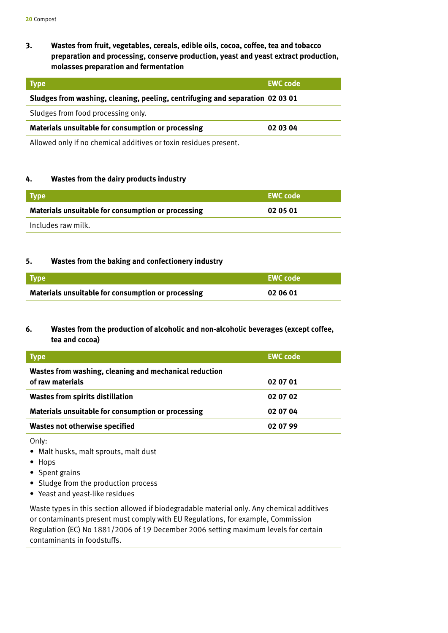# **3. Wastes from fruit, vegetables, cereals, edible oils, cocoa, coffee, tea and tobacco preparation and processing, conserve production, yeast and yeast extract production, molasses preparation and fermentation**

| <b>Type</b>                                                                   | <b>EWC code</b> |
|-------------------------------------------------------------------------------|-----------------|
| Sludges from washing, cleaning, peeling, centrifuging and separation 02 03 01 |                 |
| Sludges from food processing only.                                            |                 |
| Materials unsuitable for consumption or processing                            | 02 03 04        |
| Allowed only if no chemical additives or toxin residues present.              |                 |

### **4. Wastes from the dairy products industry**

| Type                                               | <b>EWC code</b> |
|----------------------------------------------------|-----------------|
| Materials unsuitable for consumption or processing | 02 05 01        |
| Includes raw milk.                                 |                 |

### **5. Wastes from the baking and confectionery industry**

| <b>Type</b>                                        | L EWC code <b>!</b> |
|----------------------------------------------------|---------------------|
| Materials unsuitable for consumption or processing | 02 06 01            |

# **6. Wastes from the production of alcoholic and non-alcoholic beverages (except coffee, tea and cocoa)**

| <b>Type</b>                                                                | <b>EWC code</b> |
|----------------------------------------------------------------------------|-----------------|
| Wastes from washing, cleaning and mechanical reduction<br>of raw materials | 02 07 01        |
| <b>Wastes from spirits distillation</b>                                    | 02 07 02        |
| Materials unsuitable for consumption or processing                         | 02 07 04        |
| <b>Wastes not otherwise specified</b>                                      | 02 07 99        |

Only:

- Malt husks, malt sprouts, malt dust
- Hops
- Spent grains
- Sludge from the production process
- Yeast and yeast-like residues

Waste types in this section allowed if biodegradable material only. Any chemical additives or contaminants present must comply with EU Regulations, for example, Commission Regulation (EC) No 1881/2006 of 19 December 2006 setting maximum levels for certain contaminants in foodstuffs.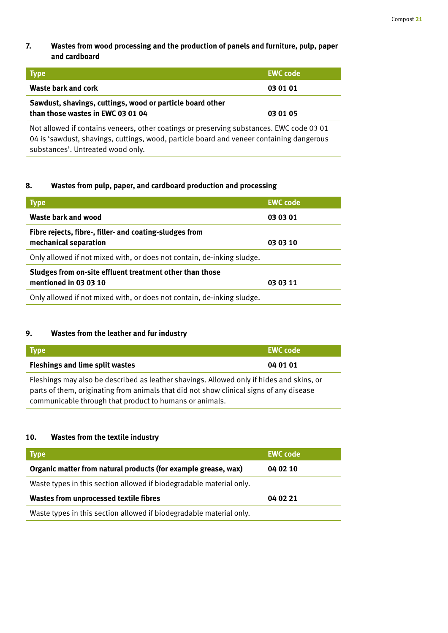# **7. Wastes from wood processing and the production of panels and furniture, pulp, paper and cardboard**

| <b>Type</b>                                                                                                                                                                                                               | <b>EWC code</b> |
|---------------------------------------------------------------------------------------------------------------------------------------------------------------------------------------------------------------------------|-----------------|
| <b>Waste bark and cork</b>                                                                                                                                                                                                | 03 01 01        |
| Sawdust, shavings, cuttings, wood or particle board other<br>than those wastes in EWC 03 01 04                                                                                                                            | 03 01 05        |
| Not allowed if contains veneers, other coatings or preserving substances. EWC code 03 01<br>04 is 'sawdust, shavings, cuttings, wood, particle board and veneer containing dangerous<br>substances'. Untreated wood only. |                 |

# **8. Wastes from pulp, paper, and cardboard production and processing**

| <b>Type</b>                                                                                   | <b>EWC code</b> |
|-----------------------------------------------------------------------------------------------|-----------------|
| Waste bark and wood                                                                           | 03 03 01        |
| Fibre rejects, fibre-, filler- and coating-sludges from<br>mechanical separation              | 03 03 10        |
| Only allowed if not mixed with, or does not contain, de-inking sludge.                        |                 |
| Sludges from on-site effluent treatment other than those<br>mentioned in 03 03 10<br>03 03 11 |                 |
| Only allowed if not mixed with, or does not contain, de-inking sludge.                        |                 |

# **9. Wastes from the leather and fur industry**

| Type                                                                                                                                                                                                                                           | <b>EWC code</b> |
|------------------------------------------------------------------------------------------------------------------------------------------------------------------------------------------------------------------------------------------------|-----------------|
| <b>Fleshings and lime split wastes</b>                                                                                                                                                                                                         | 04 01 01        |
| Fleshings may also be described as leather shavings. Allowed only if hides and skins, or<br>parts of them, originating from animals that did not show clinical signs of any disease<br>communicable through that product to humans or animals. |                 |

# **10. Wastes from the textile industry**

| <b>Type</b>                                                         | <b>EWC code</b> |
|---------------------------------------------------------------------|-----------------|
| Organic matter from natural products (for example grease, wax)      | 04 02 10        |
| Waste types in this section allowed if biodegradable material only. |                 |
| <b>Wastes from unprocessed textile fibres</b>                       | 04 02 21        |
| Waste types in this section allowed if biodegradable material only. |                 |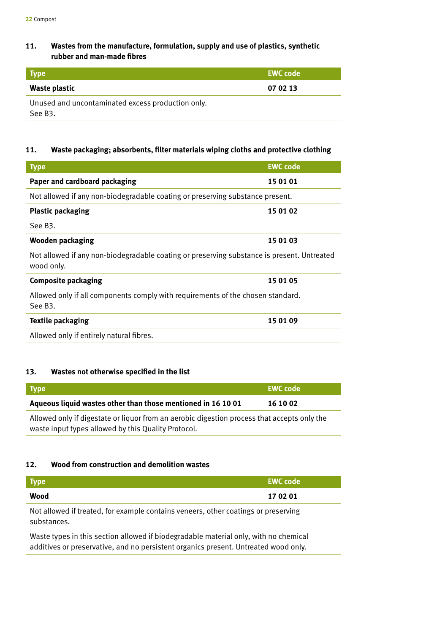# **11. Wastes from the manufacture, formulation, supply and use of plastics, synthetic rubber and man-made fibres**

| <b>Type</b>                                                  | <b>EWC code</b> |
|--------------------------------------------------------------|-----------------|
| Waste plastic                                                | 07 02 13        |
| Unused and uncontaminated excess production only.<br>See B3. |                 |

# **11. Waste packaging; absorbents, filter materials wiping cloths and protective clothing**

| <b>Type</b>                                                                                              | <b>EWC</b> code |
|----------------------------------------------------------------------------------------------------------|-----------------|
| Paper and cardboard packaging                                                                            | 15 01 01        |
| Not allowed if any non-biodegradable coating or preserving substance present.                            |                 |
| <b>Plastic packaging</b>                                                                                 | 15 01 02        |
| See B <sub>3</sub> .                                                                                     |                 |
| <b>Wooden packaging</b>                                                                                  | 15 01 03        |
| Not allowed if any non-biodegradable coating or preserving substance is present. Untreated<br>wood only. |                 |
| <b>Composite packaging</b>                                                                               | 15 01 05        |
| Allowed only if all components comply with requirements of the chosen standard.<br>See B <sub>3</sub> .  |                 |
| <b>Textile packaging</b>                                                                                 | 15 01 09        |
| Allowed only if entirely natural fibres.                                                                 |                 |

# **13. Wastes not otherwise specified in the list**

| Type                                                                                        | <b>EWC</b> code |
|---------------------------------------------------------------------------------------------|-----------------|
| Aqueous liquid wastes other than those mentioned in 16 10 01                                | 16 10 02        |
| Allowed only if digestate or liquor from an aerobic digestion process that accepts only the |                 |
| waste input types allowed by this Quality Protocol.                                         |                 |

### **12. Wood from construction and demolition wastes**

| <b>Type</b>                                                                                                                                                                 | <b>EWC code</b> |
|-----------------------------------------------------------------------------------------------------------------------------------------------------------------------------|-----------------|
| Wood                                                                                                                                                                        | 17 02 01        |
| Not allowed if treated, for example contains veneers, other coatings or preserving<br>substances.                                                                           |                 |
| Waste types in this section allowed if biodegradable material only, with no chemical<br>additives or preservative, and no persistent organics present. Untreated wood only. |                 |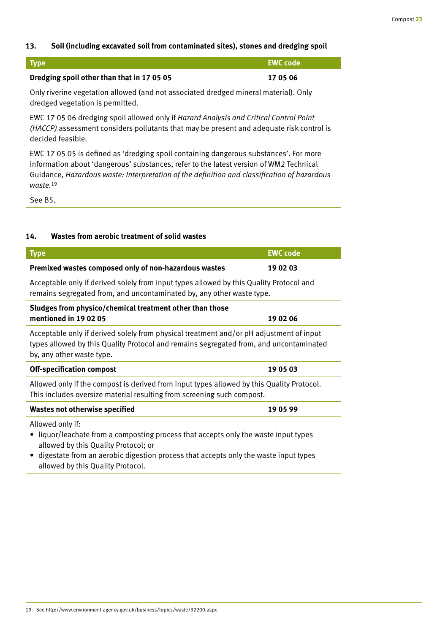# **13. Soil (including excavated soil from contaminated sites), stones and dredging spoil**

| <b>Type</b>                                                                          | <b>EWC code</b> |
|--------------------------------------------------------------------------------------|-----------------|
| Dredging spoil other than that in 170505                                             | 17 05 06        |
| Only riverine vegetation allowed (and not associated dredged mineral material). Only |                 |

dredged vegetation is permitted. EWC 17 05 06 dredging spoil allowed only if *Hazard Analysis and Critical Control Point* 

*(HACCP)* assessment considers pollutants that may be present and adequate risk control is decided feasible.

EWC 17 05 05 is defined as 'dredging spoil containing dangerous substances'. For more information about 'dangerous' substances, refer to the latest version of WM2 Technical Guidance, *Hazardous waste: Interpretation of the definition and classification of hazardous waste.*<sup>19</sup>

See B5.

# **14. Wastes from aerobic treatment of solid wastes**

| <b>Type</b>                                                                                                                                                                                                                                                               | <b>EWC code</b> |
|---------------------------------------------------------------------------------------------------------------------------------------------------------------------------------------------------------------------------------------------------------------------------|-----------------|
| Premixed wastes composed only of non-hazardous wastes                                                                                                                                                                                                                     | 19 02 03        |
| Acceptable only if derived solely from input types allowed by this Quality Protocol and<br>remains segregated from, and uncontaminated by, any other waste type.                                                                                                          |                 |
| Sludges from physico/chemical treatment other than those                                                                                                                                                                                                                  |                 |
| mentioned in 190205                                                                                                                                                                                                                                                       | 19 02 06        |
| Acceptable only if derived solely from physical treatment and/or pH adjustment of input<br>types allowed by this Quality Protocol and remains segregated from, and uncontaminated<br>by, any other waste type.                                                            |                 |
| <b>Off-specification compost</b>                                                                                                                                                                                                                                          | 19 05 03        |
| Allowed only if the compost is derived from input types allowed by this Quality Protocol.<br>This includes oversize material resulting from screening such compost.                                                                                                       |                 |
| <b>Wastes not otherwise specified</b>                                                                                                                                                                                                                                     | 19 05 99        |
| Allowed only if:<br>liquor/leachate from a composting process that accepts only the waste input types<br>allowed by this Quality Protocol; or<br>digestate from an aerobic digestion process that accepts only the waste input types<br>allowed by this Quality Protocol. |                 |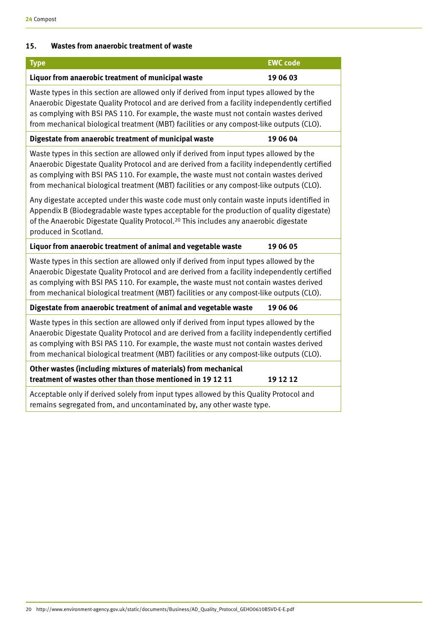# **15. Wastes from anaerobic treatment of waste**

| <b>Type</b>                                                                                                                                                                                                                                                                                                                                                                  | <b>EWC code</b> |
|------------------------------------------------------------------------------------------------------------------------------------------------------------------------------------------------------------------------------------------------------------------------------------------------------------------------------------------------------------------------------|-----------------|
| Liquor from anaerobic treatment of municipal waste                                                                                                                                                                                                                                                                                                                           | 19 06 03        |
| Waste types in this section are allowed only if derived from input types allowed by the<br>Anaerobic Digestate Quality Protocol and are derived from a facility independently certified<br>as complying with BSI PAS 110. For example, the waste must not contain wastes derived<br>from mechanical biological treatment (MBT) facilities or any compost-like outputs (CLO). |                 |
| Digestate from anaerobic treatment of municipal waste                                                                                                                                                                                                                                                                                                                        | 19 06 04        |
| Waste types in this section are allowed only if derived from input types allowed by the<br>Anaerobic Digestate Quality Protocol and are derived from a facility independently certified<br>as complying with BSI PAS 110. For example, the waste must not contain wastes derived<br>from mechanical biological treatment (MBT) facilities or any compost-like outputs (CLO). |                 |
| Any digestate accepted under this waste code must only contain waste inputs identified in<br>Appendix B (Biodegradable waste types acceptable for the production of quality digestate)<br>of the Anaerobic Digestate Quality Protocol. <sup>20</sup> This includes any anaerobic digestate<br>produced in Scotland.                                                          |                 |
| Liquor from anaerobic treatment of animal and vegetable waste                                                                                                                                                                                                                                                                                                                | 19 06 05        |
| Waste types in this section are allowed only if derived from input types allowed by the<br>Anaerobic Digestate Quality Protocol and are derived from a facility independently certified<br>as complying with BSI PAS 110. For example, the waste must not contain wastes derived<br>from mechanical biological treatment (MBT) facilities or any compost-like outputs (CLO). |                 |
| Digestate from anaerobic treatment of animal and vegetable waste                                                                                                                                                                                                                                                                                                             | 19 06 06        |
| Waste types in this section are allowed only if derived from input types allowed by the<br>Anaerobic Digestate Quality Protocol and are derived from a facility independently certified<br>as complying with BSI PAS 110. For example, the waste must not contain wastes derived<br>from mechanical biological treatment (MBT) facilities or any compost-like outputs (CLO). |                 |
| Other wastes (including mixtures of materials) from mechanical<br>treatment of wastes other than those mentioned in 19 12 11                                                                                                                                                                                                                                                 | 19 12 12        |
| Acceptable only if derived solely from input types allowed by this Quality Protocol and<br>remains segregated from, and uncontaminated by, any other waste type.                                                                                                                                                                                                             |                 |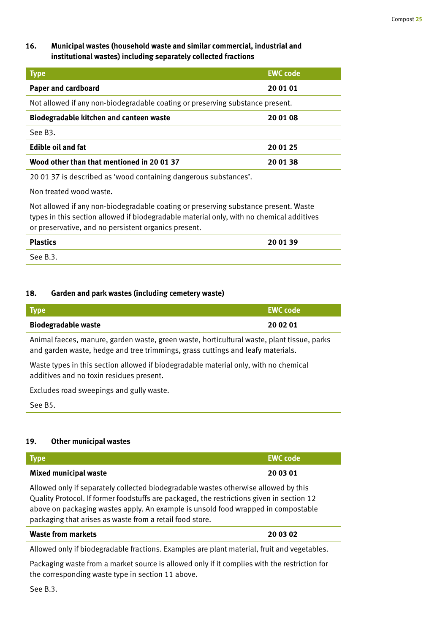# **16. Municipal wastes (household waste and similar commercial, industrial and institutional wastes) including separately collected fractions**

| <b>Type</b>                                                                                                                                                                                                                             | <b>EWC code</b> |
|-----------------------------------------------------------------------------------------------------------------------------------------------------------------------------------------------------------------------------------------|-----------------|
| <b>Paper and cardboard</b>                                                                                                                                                                                                              | 20 01 01        |
| Not allowed if any non-biodegradable coating or preserving substance present.                                                                                                                                                           |                 |
| Biodegradable kitchen and canteen waste                                                                                                                                                                                                 | 20 01 08        |
| See B <sub>3</sub> .                                                                                                                                                                                                                    |                 |
| <b>Edible oil and fat</b>                                                                                                                                                                                                               | 20 01 25        |
| Wood other than that mentioned in 20 01 37                                                                                                                                                                                              | 20 01 38        |
| 20 01 37 is described as 'wood containing dangerous substances'.                                                                                                                                                                        |                 |
| Non treated wood waste.                                                                                                                                                                                                                 |                 |
| Not allowed if any non-biodegradable coating or preserving substance present. Waste<br>types in this section allowed if biodegradable material only, with no chemical additives<br>or preservative, and no persistent organics present. |                 |
| <b>Plastics</b>                                                                                                                                                                                                                         | 20 01 39        |
| See B.3.                                                                                                                                                                                                                                |                 |

# **18. Garden and park wastes (including cemetery waste)**

| <b>Type</b>                                                                                                                                                                   | <b>EWC code</b> |
|-------------------------------------------------------------------------------------------------------------------------------------------------------------------------------|-----------------|
| <b>Biodegradable waste</b>                                                                                                                                                    | 20 02 01        |
| Animal faeces, manure, garden waste, green waste, horticultural waste, plant tissue, parks<br>and garden waste, hedge and tree trimmings, grass cuttings and leafy materials. |                 |
| Waste types in this section allowed if biodegradable material only, with no chemical<br>additives and no toxin residues present.                                              |                 |
| Excludes road sweepings and gully waste.                                                                                                                                      |                 |
| See B <sub>5</sub> .                                                                                                                                                          |                 |

# **19. Other municipal wastes**

| <b>Type</b>                                                                                                                                                                                                                                                                                                                       | <b>EWC code</b> |
|-----------------------------------------------------------------------------------------------------------------------------------------------------------------------------------------------------------------------------------------------------------------------------------------------------------------------------------|-----------------|
| <b>Mixed municipal waste</b>                                                                                                                                                                                                                                                                                                      | 20 03 01        |
| Allowed only if separately collected biodegradable wastes otherwise allowed by this<br>Quality Protocol. If former foodstuffs are packaged, the restrictions given in section 12<br>above on packaging wastes apply. An example is unsold food wrapped in compostable<br>packaging that arises as waste from a retail food store. |                 |
| <b>Waste from markets</b>                                                                                                                                                                                                                                                                                                         | 20 03 02        |
| Allowed only if biodegradable fractions. Examples are plant material, fruit and vegetables.                                                                                                                                                                                                                                       |                 |
| ■ collection of comparison and criticisms to office a final trial of transmitted of the flow or or the four four                                                                                                                                                                                                                  |                 |

Packaging waste from a market source is allowed only if it complies with the restriction for the corresponding waste type in section 11 above.

See B.3.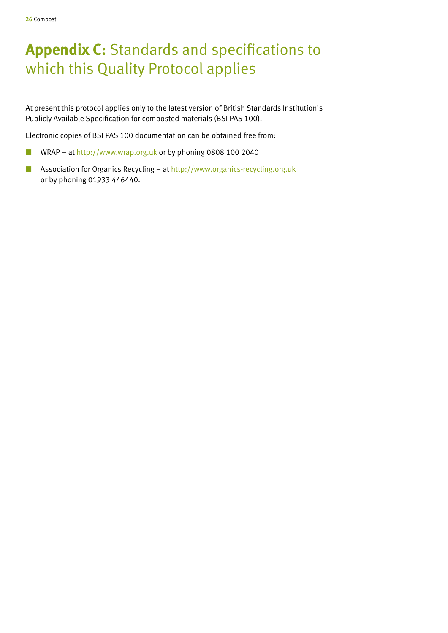# **Appendix C:** Standards and specifications to which this Quality Protocol applies

At present this protocol applies only to the latest version of British Standards Institution's Publicly Available Specification for composted materials (BSI PAS 100).

Electronic copies of BSI PAS 100 documentation can be obtained free from:

- WRAP at http://www.wrap.org.uk or by phoning 0808 100 2040
- Association for Organics Recycling at http://www.organics-recycling.org.uk or by phoning 01933 446440.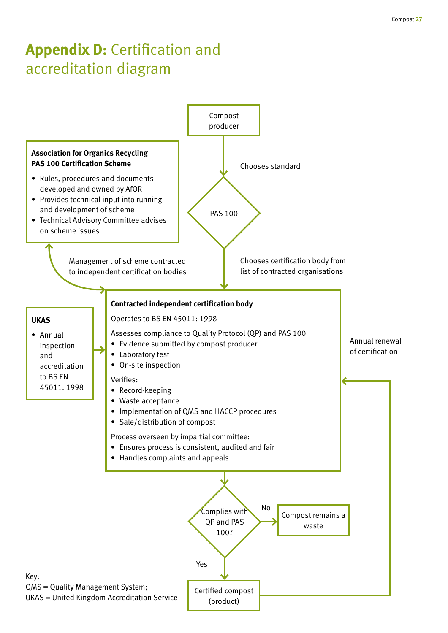# **Appendix D: Certification and** accreditation diagram

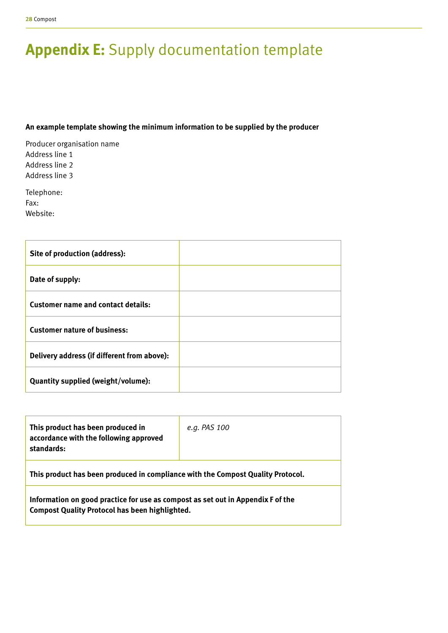# **Appendix E:** Supply documentation template

### **An example template showing the minimum information to be supplied by the producer**

Producer organisation name Address line 1 Address line 2 Address line 3

Telephone: Fax: Website:

| Site of production (address):               |  |
|---------------------------------------------|--|
| Date of supply:                             |  |
| <b>Customer name and contact details:</b>   |  |
| <b>Customer nature of business:</b>         |  |
| Delivery address (if different from above): |  |
| Quantity supplied (weight/volume):          |  |

| This product has been produced in<br>accordance with the following approved<br>standards:                                                | e.g. PAS 100 |  |
|------------------------------------------------------------------------------------------------------------------------------------------|--------------|--|
| This product has been produced in compliance with the Compost Quality Protocol.                                                          |              |  |
| Information on good practice for use as compost as set out in Appendix F of the<br><b>Compost Quality Protocol has been highlighted.</b> |              |  |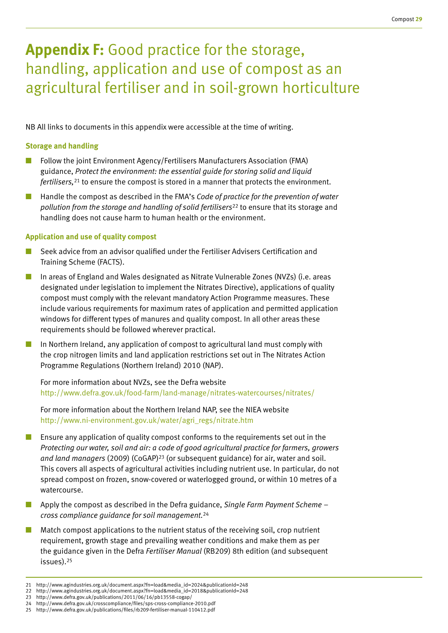# **Appendix F:** Good practice for the storage, handling, application and use of compost as an agricultural fertiliser and in soil-grown horticulture

NB All links to documents in this appendix were accessible at the time of writing.

### **Storage and handling**

- Follow the joint Environment Agency/Fertilisers Manufacturers Association (FMA) guidance, *Protect the environment: the essential guide for storing solid and liquid fertilisers,*21 to ensure the compost is stored in a manner that protects the environment.
- Handle the compost as described in the FMA's *Code of practice for the prevention of water pollution from the storage and handling of solid fertilisers*22 to ensure that its storage and handling does not cause harm to human health or the environment.

### **Application and use of quality compost**

- Seek advice from an advisor qualified under the Fertiliser Advisers Certification and Training Scheme (FACTS).
- In areas of England and Wales designated as Nitrate Vulnerable Zones (NVZs) (i.e. areas designated under legislation to implement the Nitrates Directive), applications of quality compost must comply with the relevant mandatory Action Programme measures. These include various requirements for maximum rates of application and permitted application windows for different types of manures and quality compost. In all other areas these requirements should be followed wherever practical.
- In Northern Ireland, any application of compost to agricultural land must comply with the crop nitrogen limits and land application restrictions set out in The Nitrates Action Programme Regulations (Northern Ireland) 2010 (NAP).

For more information about NVZs, see the Defra website http://www.defra.gov.uk/food-farm/land-manage/nitrates-watercourses/nitrates/

For more information about the Northern Ireland NAP, see the NIEA website http://www.ni-environment.gov.uk/water/agri\_regs/nitrate.htm

- Ensure any application of quality compost conforms to the requirements set out in the *Protecting our water, soil and air: a code of good agricultural practice for farmers, growers*  and land managers (2009) (CoGAP)<sup>23</sup> (or subsequent guidance) for air, water and soil. This covers all aspects of agricultural activities including nutrient use. In particular, do not spread compost on frozen, snow-covered or waterlogged ground, or within 10 metres of a watercourse.
- Apply the compost as described in the Defra guidance, *Single Farm Payment Scheme cross compliance guidance for soil management.*<sup>24</sup>
- Match compost applications to the nutrient status of the receiving soil, crop nutrient requirement, growth stage and prevailing weather conditions and make them as per the guidance given in the Defra *Fertiliser Manual* (RB209) 8th edition (and subsequent issues).25
- 21 http://www.agindustries.org.uk/document.aspx?fn=load&media\_id=2024&publicationId=248
- 22 http://www.agindustries.org.uk/document.aspx?fn=load&media\_id=2018&publicationId=248
- 23 http://www.defra.gov.uk/publications/2011/06/16/pb13558-cogap/
- 24 http://www.defra.gov.uk/crosscompliance/files/sps-cross-compliance-2010.pdf 25 http://www.defra.gov.uk/publications/files/rb209-fertiliser-manual-110412.pdf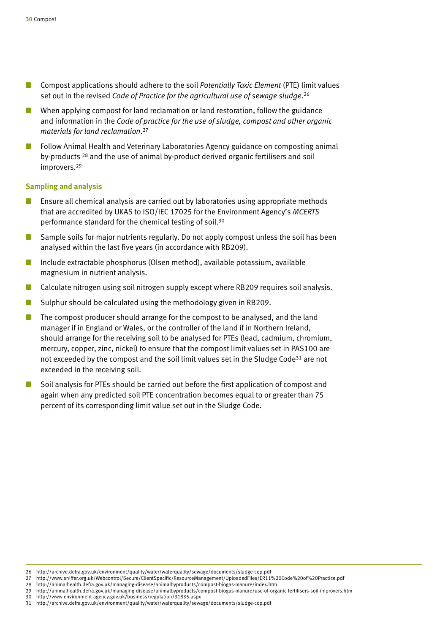- Compost applications should adhere to the soil *Potentially Toxic Element* (PTE) limit values set out in the revised *Code of Practice for the agricultural use of sewage sludge*. 26
- When applying compost for land reclamation or land restoration, follow the guidance and information in the *Code of practice for the use of sludge, compost and other organic materials for land reclamation*. 27
- Follow Animal Health and Veterinary Laboratories Agency guidance on composting animal by-products 28 and the use of animal by-product derived organic fertilisers and soil improvers.<sup>29</sup>

#### **Sampling and analysis**

- Ensure all chemical analysis are carried out by laboratories using appropriate methods that are accredited by UKAS to ISO/IEC 17025 for the Environment Agency's *MCERTS* performance standard for the chemical testing of soil.30
- Sample soils for major nutrients regularly. Do not apply compost unless the soil has been analysed within the last five years (in accordance with RB209).
- Include extractable phosphorus (Olsen method), available potassium, available magnesium in nutrient analysis.
- Calculate nitrogen using soil nitrogen supply except where RB209 requires soil analysis.
- Sulphur should be calculated using the methodology given in RB209.
- The compost producer should arrange for the compost to be analysed, and the land manager if in England or Wales, or the controller of the land if in Northern Ireland, should arrange for the receiving soil to be analysed for PTEs (lead, cadmium, chromium, mercury, copper, zinc, nickel) to ensure that the compost limit values set in PAS100 are not exceeded by the compost and the soil limit values set in the Sludge Code<sup>31</sup> are not exceeded in the receiving soil.
- Soil analysis for PTEs should be carried out before the first application of compost and again when any predicted soil PTE concentration becomes equal to or greater than 75 percent of its corresponding limit value set out in the Sludge Code.

<sup>26</sup> http://archive.defra.gov.uk/environment/quality/water/waterquality/sewage/documents/sludge-cop.pdf

<sup>27</sup> http://www.sniffer.org.uk/Webcontrol/Secure/ClientSpecific/ResourceManagement/UploadedFiles/ER11%20Code%20of%20Practice.pdf

<sup>28</sup> http://animalhealth.defra.gov.uk/managing-disease/animalbyproducts/compost-biogas-manure/index.htm

<sup>29</sup> http://animalhealth.defra.gov.uk/managing-disease/animalbyproducts/compost-biogas-manure/use-of-organic-fertilisers-soil-improvers.htm

<sup>30</sup> http://www.environment-agency.gov.uk/business/regulation/31835.aspx

<sup>31</sup> http://archive.defra.gov.uk/environment/quality/water/waterquality/sewage/documents/sludge-cop.pdf